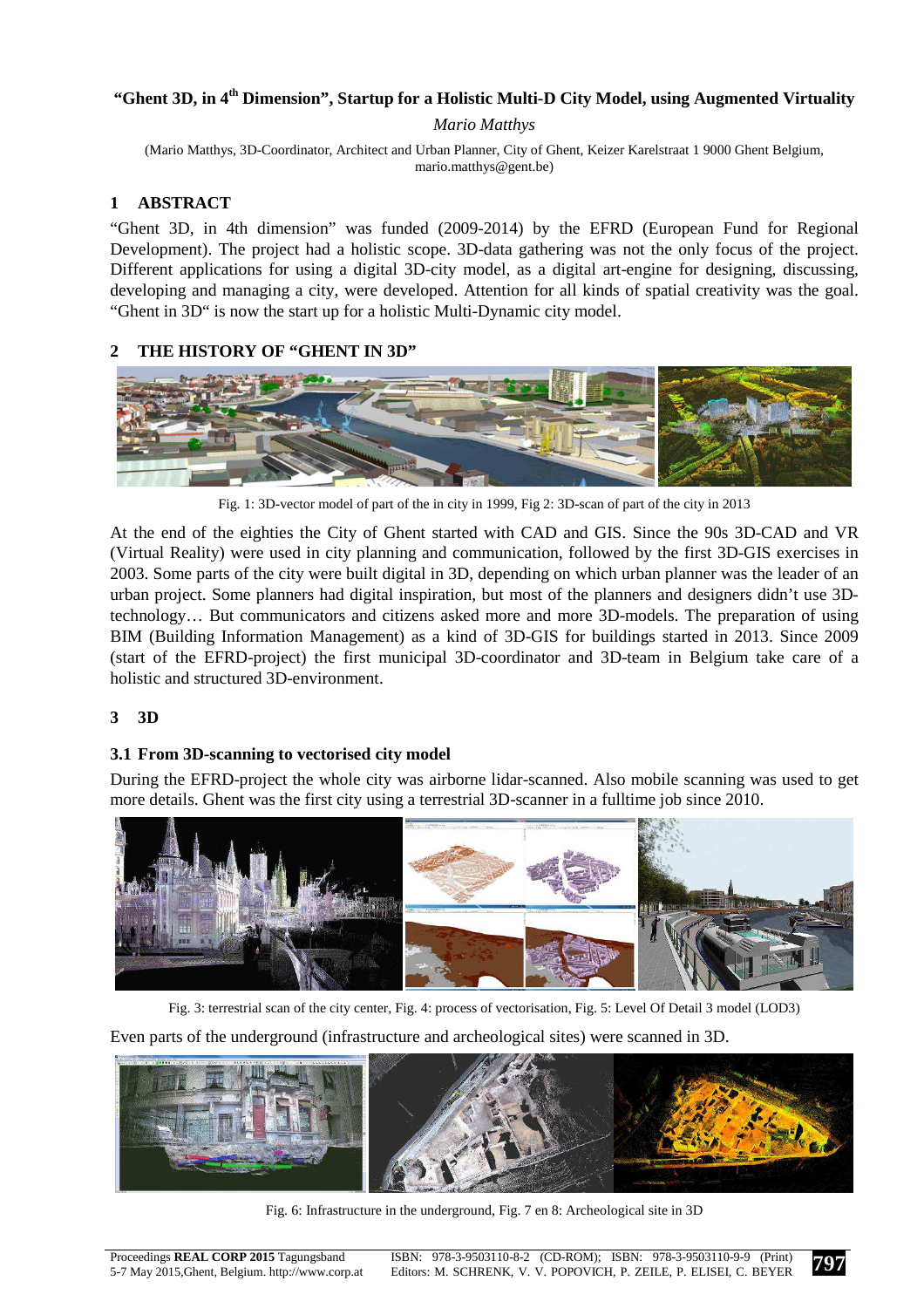# **"Ghent 3D, in 4th Dimension", Startup for a Holistic Multi-D City Model, using Augmented Virtuality**

#### *Mario Matthys*

(Mario Matthys, 3D-Coordinator, Architect and Urban Planner, City of Ghent, Keizer Karelstraat 1 9000 Ghent Belgium, mario.matthys@gent.be)

## **1 ABSTRACT**

"Ghent 3D, in 4th dimension" was funded (2009-2014) by the EFRD (European Fund for Regional Development). The project had a holistic scope. 3D-data gathering was not the only focus of the project. Different applications for using a digital 3D-city model, as a digital art-engine for designing, discussing, developing and managing a city, were developed. Attention for all kinds of spatial creativity was the goal. "Ghent in 3D" is now the start up for a holistic Multi-Dynamic city model.

#### **2 THE HISTORY OF "GHENT IN 3D"**



Fig. 1: 3D-vector model of part of the in city in 1999, Fig 2: 3D-scan of part of the city in 2013

At the end of the eighties the City of Ghent started with CAD and GIS. Since the 90s 3D-CAD and VR (Virtual Reality) were used in city planning and communication, followed by the first 3D-GIS exercises in 2003. Some parts of the city were built digital in 3D, depending on which urban planner was the leader of an urban project. Some planners had digital inspiration, but most of the planners and designers didn't use 3Dtechnology… But communicators and citizens asked more and more 3D-models. The preparation of using BIM (Building Information Management) as a kind of 3D-GIS for buildings started in 2013. Since 2009 (start of the EFRD-project) the first municipal 3D-coordinator and 3D-team in Belgium take care of a holistic and structured 3D-environment.

## **3 3D**

## **3.1 From 3D-scanning to vectorised city model**

During the EFRD-project the whole city was airborne lidar-scanned. Also mobile scanning was used to get more details. Ghent was the first city using a terrestrial 3D-scanner in a fulltime job since 2010.



Fig. 3: terrestrial scan of the city center, Fig. 4: process of vectorisation, Fig. 5: Level Of Detail 3 model (LOD3)

Even parts of the underground (infrastructure and archeological sites) were scanned in 3D.



Fig. 6: Infrastructure in the underground, Fig. 7 en 8: Archeological site in 3D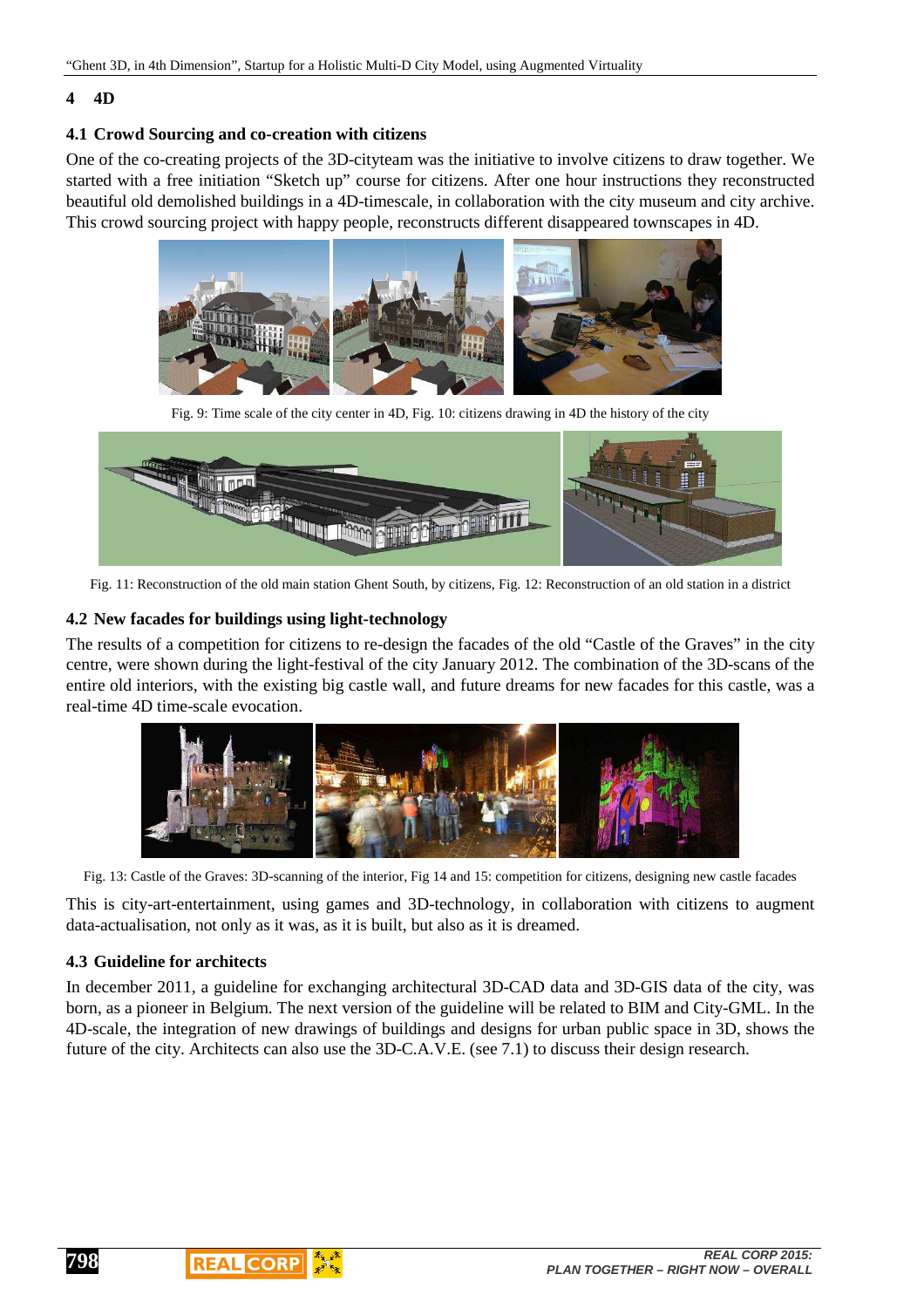#### **4 4D**

# **4.1 Crowd Sourcing and co-creation with citizens**

One of the co-creating projects of the 3D-cityteam was the initiative to involve citizens to draw together. We started with a free initiation "Sketch up" course for citizens. After one hour instructions they reconstructed beautiful old demolished buildings in a 4D-timescale, in collaboration with the city museum and city archive. This crowd sourcing project with happy people, reconstructs different disappeared townscapes in 4D.



Fig. 9: Time scale of the city center in 4D, Fig. 10: citizens drawing in 4D the history of the city



Fig. 11: Reconstruction of the old main station Ghent South, by citizens, Fig. 12: Reconstruction of an old station in a district

# **4.2 New facades for buildings using light-technology**

The results of a competition for citizens to re-design the facades of the old "Castle of the Graves" in the city centre, were shown during the light-festival of the city January 2012. The combination of the 3D-scans of the entire old interiors, with the existing big castle wall, and future dreams for new facades for this castle, was a real-time 4D time-scale evocation.



Fig. 13: Castle of the Graves: 3D-scanning of the interior, Fig 14 and 15: competition for citizens, designing new castle facades

This is city-art-entertainment, using games and 3D-technology, in collaboration with citizens to augment data-actualisation, not only as it was, as it is built, but also as it is dreamed.

# **4.3 Guideline for architects**

In december 2011, a guideline for exchanging architectural 3D-CAD data and 3D-GIS data of the city, was born, as a pioneer in Belgium. The next version of the guideline will be related to BIM and City-GML. In the 4D-scale, the integration of new drawings of buildings and designs for urban public space in 3D, shows the future of the city. Architects can also use the 3D-C.A.V.E. (see 7.1) to discuss their design research.

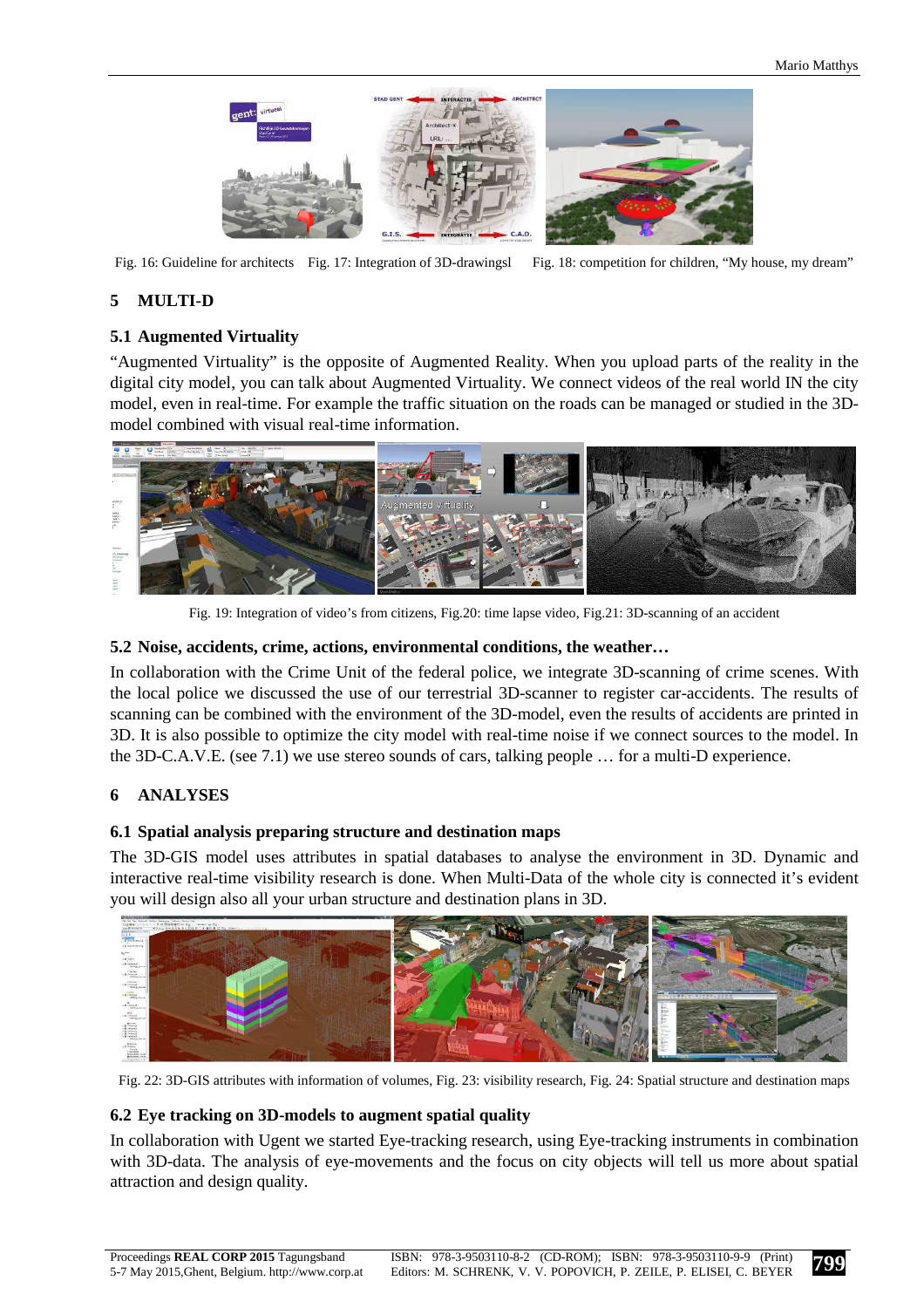

Fig. 16: Guideline for architects Fig. 17: Integration of 3D-drawingsl Fig. 18: competition for children, "My house, my dream"

# **5 MULTI-D**

## **5.1 Augmented Virtuality**

"Augmented Virtuality" is the opposite of Augmented Reality. When you upload parts of the reality in the digital city model, you can talk about Augmented Virtuality. We connect videos of the real world IN the city model, even in real-time. For example the traffic situation on the roads can be managed or studied in the 3Dmodel combined with visual real-time information.



Fig. 19: Integration of video's from citizens, Fig.20: time lapse video, Fig.21: 3D-scanning of an accident

#### **5.2 Noise, accidents, crime, actions, environmental conditions, the weather…**

In collaboration with the Crime Unit of the federal police, we integrate 3D-scanning of crime scenes. With the local police we discussed the use of our terrestrial 3D-scanner to register car-accidents. The results of scanning can be combined with the environment of the 3D-model, even the results of accidents are printed in 3D. It is also possible to optimize the city model with real-time noise if we connect sources to the model. In the 3D-C.A.V.E. (see 7.1) we use stereo sounds of cars, talking people … for a multi-D experience.

## **6 ANALYSES**

## **6.1 Spatial analysis preparing structure and destination maps**

The 3D-GIS model uses attributes in spatial databases to analyse the environment in 3D. Dynamic and interactive real-time visibility research is done. When Multi-Data of the whole city is connected it's evident you will design also all your urban structure and destination plans in 3D.



Fig. 22: 3D-GIS attributes with information of volumes, Fig. 23: visibility research, Fig. 24: Spatial structure and destination maps

## **6.2 Eye tracking on 3D-models to augment spatial quality**

In collaboration with Ugent we started Eye-tracking research, using Eye-tracking instruments in combination with 3D-data. The analysis of eye-movements and the focus on city objects will tell us more about spatial attraction and design quality.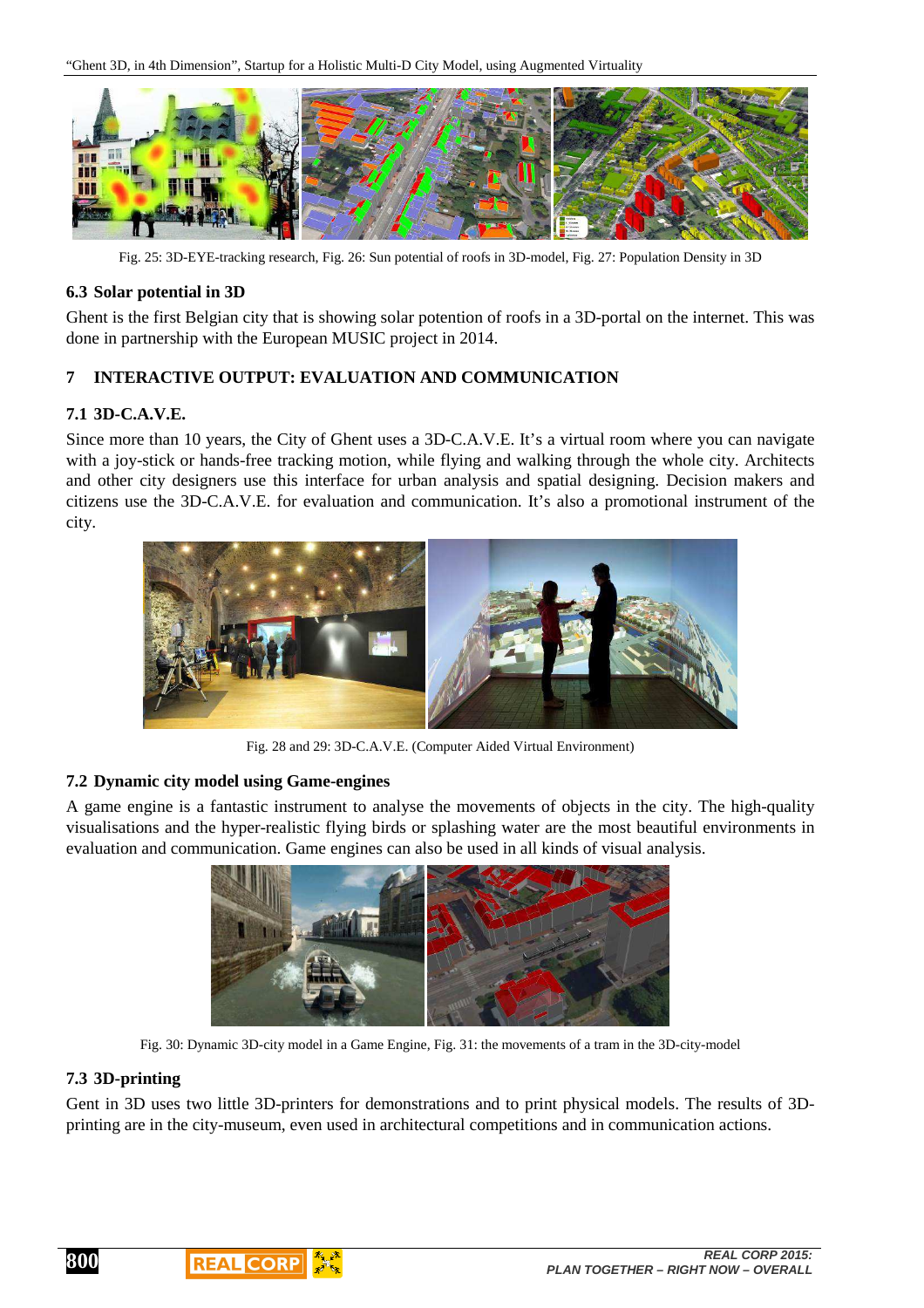

Fig. 25: 3D-EYE-tracking research, Fig. 26: Sun potential of roofs in 3D-model, Fig. 27: Population Density in 3D

#### **6.3 Solar potential in 3D**

Ghent is the first Belgian city that is showing solar potention of roofs in a 3D-portal on the internet. This was done in partnership with the European MUSIC project in 2014.

#### **7 INTERACTIVE OUTPUT: EVALUATION AND COMMUNICATION**

#### **7.1 3D-C.A.V.E.**

Since more than 10 years, the City of Ghent uses a 3D-C.A.V.E. It's a virtual room where you can navigate with a joy-stick or hands-free tracking motion, while flying and walking through the whole city. Architects and other city designers use this interface for urban analysis and spatial designing. Decision makers and citizens use the 3D-C.A.V.E. for evaluation and communication. It's also a promotional instrument of the city.



Fig. 28 and 29: 3D-C.A.V.E. (Computer Aided Virtual Environment)

#### **7.2 Dynamic city model using Game-engines**

A game engine is a fantastic instrument to analyse the movements of objects in the city. The high-quality visualisations and the hyper-realistic flying birds or splashing water are the most beautiful environments in evaluation and communication. Game engines can also be used in all kinds of visual analysis.



Fig. 30: Dynamic 3D-city model in a Game Engine, Fig. 31: the movements of a tram in the 3D-city-model

## **7.3 3D-printing**

**800**

Gent in 3D uses two little 3D-printers for demonstrations and to print physical models. The results of 3Dprinting are in the city-museum, even used in architectural competitions and in communication actions.

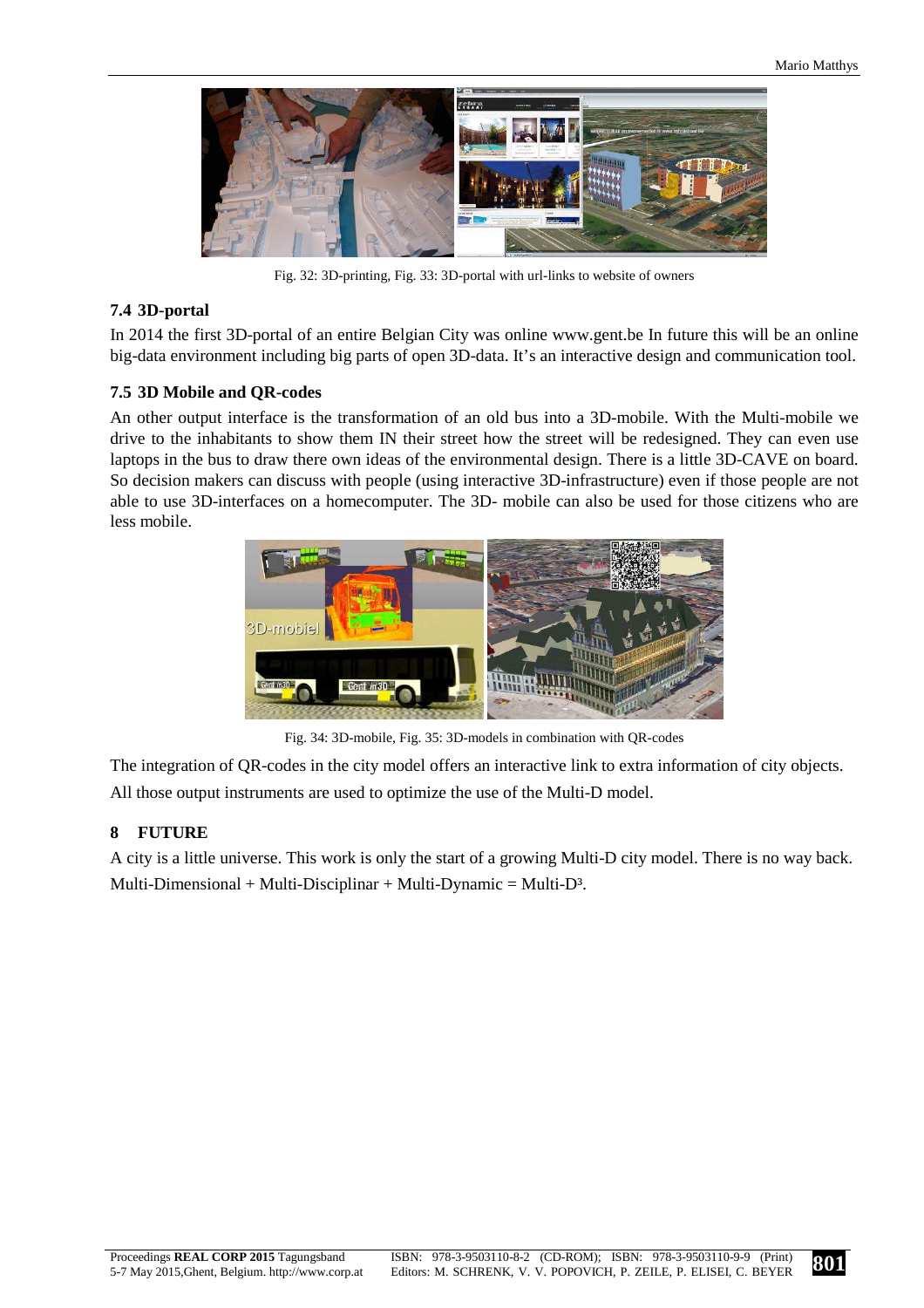

Fig. 32: 3D-printing, Fig. 33: 3D-portal with url-links to website of owners

#### **7.4 3D-portal**

In 2014 the first 3D-portal of an entire Belgian City was online www.gent.be In future this will be an online big-data environment including big parts of open 3D-data. It's an interactive design and communication tool.

#### **7.5 3D Mobile and QR-codes**

An other output interface is the transformation of an old bus into a 3D-mobile. With the Multi-mobile we drive to the inhabitants to show them IN their street how the street will be redesigned. They can even use laptops in the bus to draw there own ideas of the environmental design. There is a little 3D-CAVE on board. So decision makers can discuss with people (using interactive 3D-infrastructure) even if those people are not able to use 3D-interfaces on a homecomputer. The 3D- mobile can also be used for those citizens who are less mobile.



Fig. 34: 3D-mobile, Fig. 35: 3D-models in combination with QR-codes

The integration of QR-codes in the city model offers an interactive link to extra information of city objects. All those output instruments are used to optimize the use of the Multi-D model.

#### **8 FUTURE**

A city is a little universe. This work is only the start of a growing Multi-D city model. There is no way back. Multi-Dimensional + Multi-Disciplinar + Multi-Dynamic = Multi-D<sup>3</sup>.